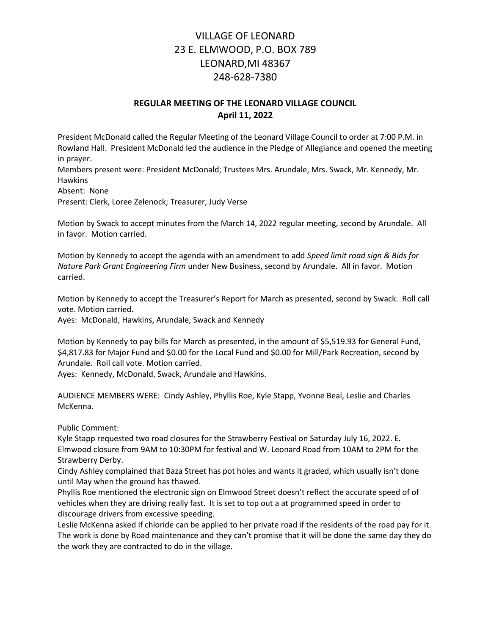# VILLAGE OF LEONARD 23 E. ELMWOOD, P.O. BOX 789 LEONARD,MI 48367 248-628-7380

## REGULAR MEETING OF THE LEONARD VILLAGE COUNCIL April 11, 2022

President McDonald called the Regular Meeting of the Leonard Village Council to order at 7:00 P.M. in Rowland Hall. President McDonald led the audience in the Pledge of Allegiance and opened the meeting in prayer.

Members present were: President McDonald; Trustees Mrs. Arundale, Mrs. Swack, Mr. Kennedy, Mr. Hawkins

Absent: None

Present: Clerk, Loree Zelenock; Treasurer, Judy Verse

Motion by Swack to accept minutes from the March 14, 2022 regular meeting, second by Arundale. All in favor. Motion carried.

Motion by Kennedy to accept the agenda with an amendment to add Speed limit road sign & Bids for Nature Park Grant Engineering Firm under New Business, second by Arundale. All in favor. Motion carried.

Motion by Kennedy to accept the Treasurer's Report for March as presented, second by Swack. Roll call vote. Motion carried.

Ayes: McDonald, Hawkins, Arundale, Swack and Kennedy

Motion by Kennedy to pay bills for March as presented, in the amount of \$5,519.93 for General Fund, \$4,817.83 for Major Fund and \$0.00 for the Local Fund and \$0.00 for Mill/Park Recreation, second by Arundale. Roll call vote. Motion carried.

Ayes: Kennedy, McDonald, Swack, Arundale and Hawkins.

AUDIENCE MEMBERS WERE: Cindy Ashley, Phyllis Roe, Kyle Stapp, Yvonne Beal, Leslie and Charles McKenna.

Public Comment:

Kyle Stapp requested two road closures for the Strawberry Festival on Saturday July 16, 2022. E. Elmwood closure from 9AM to 10:30PM for festival and W. Leonard Road from 10AM to 2PM for the Strawberry Derby.

Cindy Ashley complained that Baza Street has pot holes and wants it graded, which usually isn't done until May when the ground has thawed.

Phyllis Roe mentioned the electronic sign on Elmwood Street doesn't reflect the accurate speed of of vehicles when they are driving really fast. It is set to top out a at programmed speed in order to discourage drivers from excessive speeding.

Leslie McKenna asked if chloride can be applied to her private road if the residents of the road pay for it. The work is done by Road maintenance and they can't promise that it will be done the same day they do the work they are contracted to do in the village.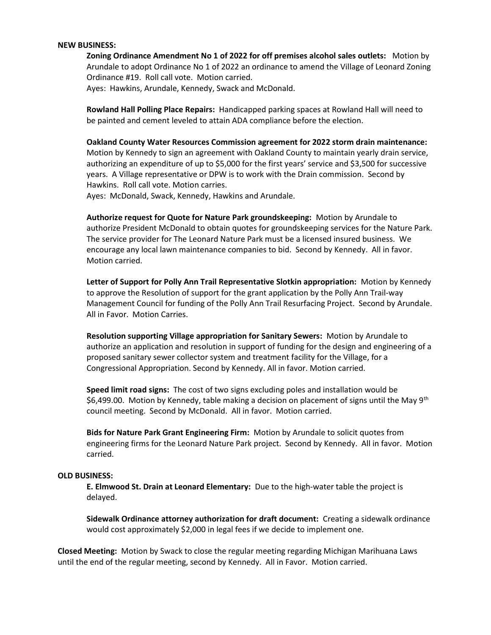#### NEW BUSINESS:

Zoning Ordinance Amendment No 1 of 2022 for off premises alcohol sales outlets: Motion by Arundale to adopt Ordinance No 1 of 2022 an ordinance to amend the Village of Leonard Zoning Ordinance #19. Roll call vote. Motion carried. Ayes: Hawkins, Arundale, Kennedy, Swack and McDonald.

Rowland Hall Polling Place Repairs: Handicapped parking spaces at Rowland Hall will need to be painted and cement leveled to attain ADA compliance before the election.

Oakland County Water Resources Commission agreement for 2022 storm drain maintenance: Motion by Kennedy to sign an agreement with Oakland County to maintain yearly drain service, authorizing an expenditure of up to \$5,000 for the first years' service and \$3,500 for successive years. A Village representative or DPW is to work with the Drain commission. Second by Hawkins. Roll call vote. Motion carries.

Ayes: McDonald, Swack, Kennedy, Hawkins and Arundale.

Authorize request for Quote for Nature Park groundskeeping: Motion by Arundale to authorize President McDonald to obtain quotes for groundskeeping services for the Nature Park. The service provider for The Leonard Nature Park must be a licensed insured business. We encourage any local lawn maintenance companies to bid. Second by Kennedy. All in favor. Motion carried.

Letter of Support for Polly Ann Trail Representative Slotkin appropriation: Motion by Kennedy to approve the Resolution of support for the grant application by the Polly Ann Trail-way Management Council for funding of the Polly Ann Trail Resurfacing Project. Second by Arundale. All in Favor. Motion Carries.

Resolution supporting Village appropriation for Sanitary Sewers: Motion by Arundale to authorize an application and resolution in support of funding for the design and engineering of a proposed sanitary sewer collector system and treatment facility for the Village, for a Congressional Appropriation. Second by Kennedy. All in favor. Motion carried.

Speed limit road signs: The cost of two signs excluding poles and installation would be \$6,499.00. Motion by Kennedy, table making a decision on placement of signs until the May 9<sup>th</sup> council meeting. Second by McDonald. All in favor. Motion carried.

Bids for Nature Park Grant Engineering Firm: Motion by Arundale to solicit quotes from engineering firms for the Leonard Nature Park project. Second by Kennedy. All in favor. Motion carried.

#### OLD BUSINESS:

E. Elmwood St. Drain at Leonard Elementary: Due to the high-water table the project is delayed.

Sidewalk Ordinance attorney authorization for draft document: Creating a sidewalk ordinance would cost approximately \$2,000 in legal fees if we decide to implement one.

Closed Meeting: Motion by Swack to close the regular meeting regarding Michigan Marihuana Laws until the end of the regular meeting, second by Kennedy. All in Favor. Motion carried.